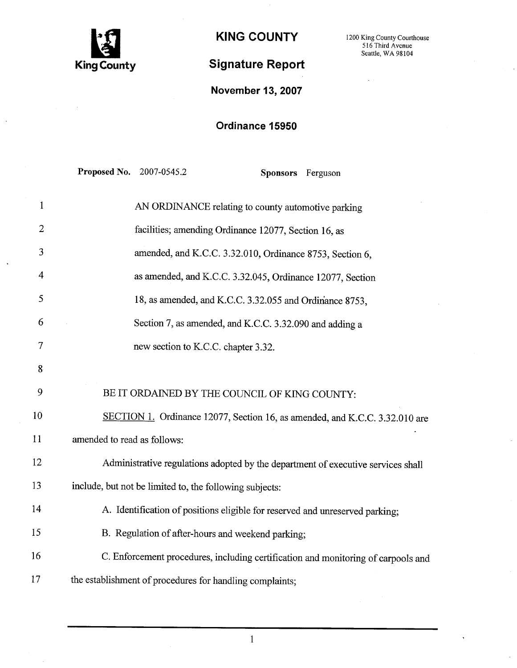

## Signature Report

KING COUNTY 1200 King County Courthouse Seattle, WA 98104

November 13, 2007

## Ordinance 15950

|                | <b>Proposed No. 2007-0545.2</b><br>Sponsors Ferguson                              |
|----------------|-----------------------------------------------------------------------------------|
| 1              | AN ORDINANCE relating to county automotive parking                                |
| 2              | facilities; amending Ordinance 12077, Section 16, as                              |
| 3              | amended, and K.C.C. 3.32.010, Ordinance 8753, Section 6,                          |
| $\overline{4}$ | as amended, and K.C.C. 3.32.045, Ordinance 12077, Section                         |
| 5              | 18, as amended, and K.C.C. 3.32.055 and Ordinance 8753,                           |
| 6              | Section 7, as amended, and K.C.C. 3.32.090 and adding a                           |
| 7              | new section to K.C.C. chapter 3.32.                                               |
| 8              |                                                                                   |
| 9              | BE IT ORDAINED BY THE COUNCIL OF KING COUNTY:                                     |
| 10             | SECTION 1. Ordinance 12077, Section 16, as amended, and K.C.C. 3.32.010 are       |
| 11             | amended to read as follows:                                                       |
| 12             | Administrative regulations adopted by the department of executive services shall  |
| 13             | include, but not be limited to, the following subjects:                           |
| 14             | A. Identification of positions eligible for reserved and unreserved parking;      |
| 15             | B. Regulation of after-hours and weekend parking;                                 |
| 16             | C. Enforcement procedures, including certification and monitoring of carpools and |
| 17             | the establishment of procedures for handling complaints;                          |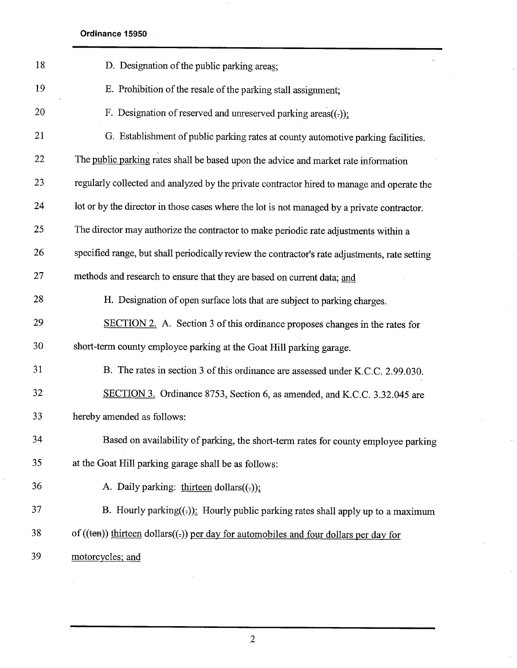Ordinance 15950

| 18 | D. Designation of the public parking areas;                                                        |
|----|----------------------------------------------------------------------------------------------------|
| 19 | E. Prohibition of the resale of the parking stall assignment;                                      |
| 20 | F. Designation of reserved and unreserved parking $area(f, \cdot);$                                |
| 21 | G. Establishment of public parking rates at county automotive parking facilities.                  |
| 22 | The public parking rates shall be based upon the advice and market rate information                |
| 23 | regularly collected and analyzed by the private contractor hired to manage and operate the         |
| 24 | lot or by the director in those cases where the lot is not managed by a private contractor.        |
| 25 | The director may authorize the contractor to make periodic rate adjustments within a               |
| 26 | specified range, but shall periodically review the contractor's rate adjustments, rate setting     |
| 27 | methods and research to ensure that they are based on current data; and                            |
| 28 | H. Designation of open surface lots that are subject to parking charges.                           |
| 29 | SECTION 2. A. Section 3 of this ordinance proposes changes in the rates for                        |
| 30 | short-term county employee parking at the Goat Hill parking garage.                                |
| 31 | B. The rates in section 3 of this ordinance are assessed under K.C.C. 2.99.030.                    |
| 32 | SECTION 3. Ordinance 8753, Section 6, as amended, and K.C.C. 3.32.045 are                          |
| 33 | hereby amended as follows:                                                                         |
| 34 | Based on availability of parking, the short-term rates for county employee parking                 |
| 35 | at the Goat Hill parking garage shall be as follows:                                               |
| 36 | A. Daily parking: thirteen dollars( $(\cdot)$ );                                                   |
| 37 | B. Hourly parking( $\left(\cdot\right)$ ): Hourly public parking rates shall apply up to a maximum |
| 38 | of $((ten))$ thirteen dollars $((.)$ per day for automobiles and four dollars per day for          |
| 39 | motorcycles; and                                                                                   |

2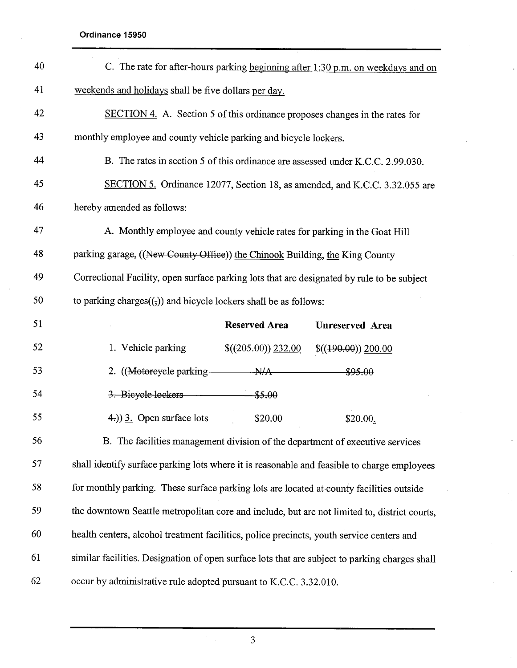Ordinance 15950

| 40 | C. The rate for after-hours parking beginning after 1:30 p.m. on weekdays and on               |
|----|------------------------------------------------------------------------------------------------|
| 41 | weekends and holidays shall be five dollars per day.                                           |
| 42 | SECTION 4. A. Section 5 of this ordinance proposes changes in the rates for                    |
| 43 | monthly employee and county vehicle parking and bicycle lockers.                               |
| 44 | B. The rates in section 5 of this ordinance are assessed under K.C.C. 2.99.030.                |
| 45 | SECTION 5. Ordinance 12077, Section 18, as amended, and K.C.C. 3.32.055 are                    |
| 46 | hereby amended as follows:                                                                     |
| 47 | A. Monthly employee and county vehicle rates for parking in the Goat Hill                      |
| 48 | parking garage, ((New County Office)) the Chinook Building, the King County                    |
| 49 | Correctional Facility, open surface parking lots that are designated by rule to be subject     |
| 50 | to parking charges $((,))$ and bicycle lockers shall be as follows:                            |
| 51 | <b>Reserved Area</b><br><b>Unreserved Area</b>                                                 |
| 52 | 1. Vehicle parking<br>$$((205.00))$ 232.00<br>\$(490.00) 200.00                                |
| 53 | 2. ((Motorcycle parking<br>A<br>\$95.00                                                        |
| 54 |                                                                                                |
|    | 3. Bieyele-lockers<br>\$5.00                                                                   |
| 55 | $(4)$ ) 3. Open surface lots<br>\$20.00<br>\$20.00.                                            |
| 56 | B. The facilities management division of the department of executive services                  |
| 57 | shall identify surface parking lots where it is reasonable and feasible to charge employees    |
| 58 | for monthly parking. These surface parking lots are located at county facilities outside       |
| 59 | the downtown Seattle metropolitan core and include, but are not limited to, district courts,   |
| 60 | health centers, alcohol treatment facilities, police precincts, youth service centers and      |
| 61 | similar facilities. Designation of open surface lots that are subject to parking charges shall |

3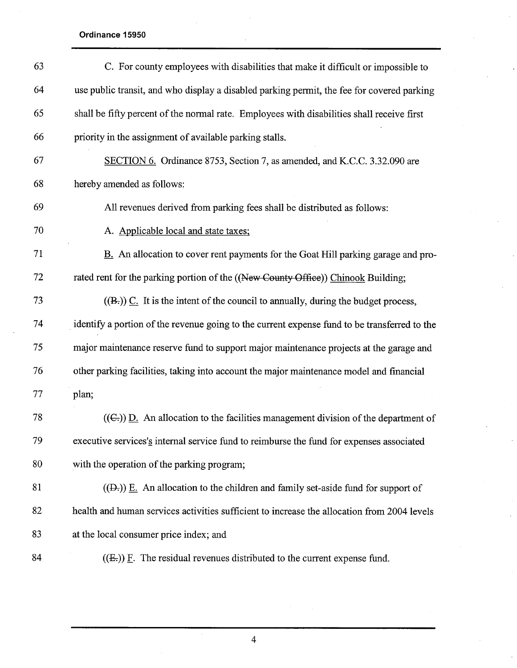Ordinance 15950

| 63 | C. For county employees with disabilities that make it difficult or impossible to            |
|----|----------------------------------------------------------------------------------------------|
| 64 | use public transit, and who display a disabled parking permit, the fee for covered parking   |
| 65 | shall be fifty percent of the normal rate. Employees with disabilities shall receive first   |
| 66 | priority in the assignment of available parking stalls.                                      |
| 67 | SECTION 6. Ordinance 8753, Section 7, as amended, and K.C.C. 3.32.090 are                    |
| 68 | hereby amended as follows:                                                                   |
| 69 | All revenues derived from parking fees shall be distributed as follows:                      |
| 70 | A. Applicable local and state taxes;                                                         |
| 71 | B. An allocation to cover rent payments for the Goat Hill parking garage and pro-            |
| 72 | rated rent for the parking portion of the ((New County Office)) Chinook Building;            |
| 73 | $((Bz))$ C. It is the intent of the council to annually, during the budget process,          |
| 74 | identify a portion of the revenue going to the current expense fund to be transferred to the |
| 75 | major maintenance reserve fund to support major maintenance projects at the garage and       |
| 76 | other parking facilities, taking into account the major maintenance model and financial      |
| 77 | plan;                                                                                        |
| 78 | $((\text{C})$ ) D. An allocation to the facilities management division of the department of  |
| 79 | executive services's internal service fund to reimburse the fund for expenses associated     |
| 80 | with the operation of the parking program;                                                   |
| 81 | $((Dz))$ E. An allocation to the children and family set-aside fund for support of           |
| 82 | health and human services activities sufficient to increase the allocation from 2004 levels  |
| 83 | at the local consumer price index; and                                                       |
| 84 | $((E))$ F. The residual revenues distributed to the current expense fund.                    |

4

 $\bar{\bar{z}}$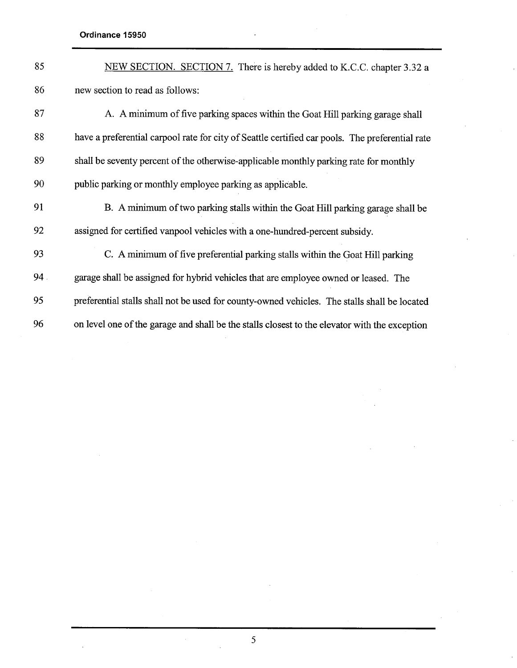- 85 NEW SECTION. SECTION 7. There is hereby added to K.C.C. chapter 3.32 a 86 new section to read as follows:
- 87 A. A minimum of five parking spaces within the Goat Hill parking garage shall 88 have a preferential carpool rate for city of Seattle certified car pools. The preferential rate 89 shall be seventy percent of the otherwise-applicable monthly parking rate for monthly 90 public parking or monthly employee parking as applicable.
- 91 B. A minimum of two parkig stalls within the Goat Hil parking garage shall be 92 assigned for certified vanpool vehicles with a one-hundred-percent subsidy.
- 93 C. A minimum of five preferential parking stalls within the Goat Hill parking 94 . garage shall be assigned for hybrid vehicles that are employee owned or leased. The 95 preferential stalls shall not be used for county-owned vehicles. The stalls shall be located 96 on level one of the garage and shall be the stalls closest to the elevator with the exception